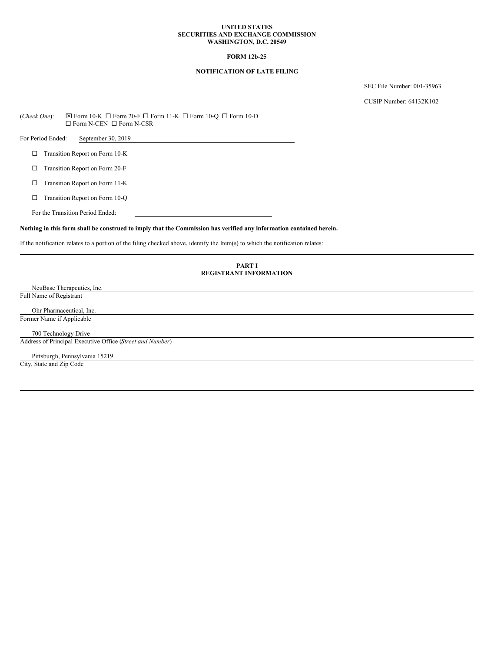### **UNITED STATES SECURITIES AND EXCHANGE COMMISSION WASHINGTON, D.C. 20549**

# **FORM 12b-25**

# **NOTIFICATION OF LATE FILING**

SEC File Number: 001-35963

CUSIP Number: 64132K102

 $(Check One):$   $\boxtimes$  Form 10-K  $\Box$  Form 20-F  $\Box$  Form 11-K  $\Box$  Form 10-Q  $\Box$  Form 10-D  $\square$  Form N-CEN  $\square$  Form N-CSR

For Period Ended: September 30, 2019

□ Transition Report on Form 10-K

 $\Box$  Transition Report on Form 20-F

 $\square$  Transition Report on Form 11-K

 $\Box$  Transition Report on Form 10-Q

For the Transition Period Ended:

### Nothing in this form shall be construed to imply that the Commission has verified any information contained herein.

If the notification relates to a portion of the filing checked above, identify the Item(s) to which the notification relates:

## **PART I REGISTRANT INFORMATION**

NeuBase Therapeutics, Inc. Full Name of Registrant

Ohr Pharmaceutical, Inc. Former Name if Applicable

700 Technology Drive

Address of Principal Executive Office (*Street and Number*)

Pittsburgh, Pennsylvania 15219 City, State and Zip Code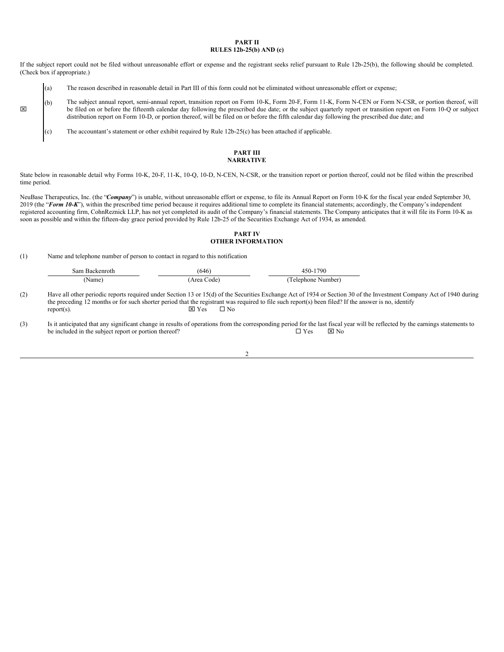### **PART II RULES 12b-25(b) AND (c)**

If the subject report could not be filed without unreasonable effort or expense and the registrant seeks relief pursuant to Rule 12b-25(b), the following should be completed. (Check box if appropriate.)

- (a) The reason described in reasonable detail in Part III of this form could not be eliminated without unreasonable effort or expense;
- (b) The subject annual report, semi-annual report, transition report on Form 10-K, Form 20-F, Form 11-K, Form N-CEN or Form N-CSR, or portion thereof, will be filed on or before the fifteenth calendar day following the prescribed due date; or the subject quarterly report or transition report on Form 10-Q or subject distribution report on Form 10-D, or portion thereof, will be filed on or before the fifth calendar day following the prescribed due date; and
	- (c) The accountant's statement or other exhibit required by Rule 12b-25(c) has been attached if applicable.

## **PART III NARRATIVE**

State below in reasonable detail why Forms 10-K, 20-F, 11-K, 10-Q, 10-D, N-CEN, N-CSR, or the transition report or portion thereof, could not be filed within the prescribed time period.

NeuBase Therapeutics, Inc. (the "Company") is unable, without unreasonable effort or expense, to file its Annual Report on Form 10-K for the fiscal year ended September 30, 2019 (the "*Form 10-K*"), within the prescribed time period because it requires additional time to complete its financial statements; accordingly, the Company's independent registered accounting firm, CohnReznick LLP, has not yet completed its audit of the Company's financial statements. The Company anticipates that it will file its Form 10-K as soon as possible and within the fifteen-day grace period provided by Rule 12b-25 of the Securities Exchange Act of 1934, as amended.

## **PART IV OTHER INFORMATION**

(1) Name and telephone number of person to contact in regard to this notification

x

| Sam Backenroth | (646       | 450-1790           |
|----------------|------------|--------------------|
| (Name          | Area Code) | 'Telephone Number) |

(2) Have all other periodic reports required under Section 13 or 15(d) of the Securities Exchange Act of 1934 or Section 30 of the Investment Company Act of 1940 during the preceding 12 months or for such shorter period that the registrant was required to file such report(s) been filed? If the answer is no, identify report(s).<br>  $\boxtimes$  Y es  $\Box$  No  $\text{report}(s)$ .

(3) Is it anticipated that any significant change in results of operations from the corresponding period for the last fiscal year will be reflected by the earnings statements to be included in the subject renort or portio be included in the subject report or portion thereof?